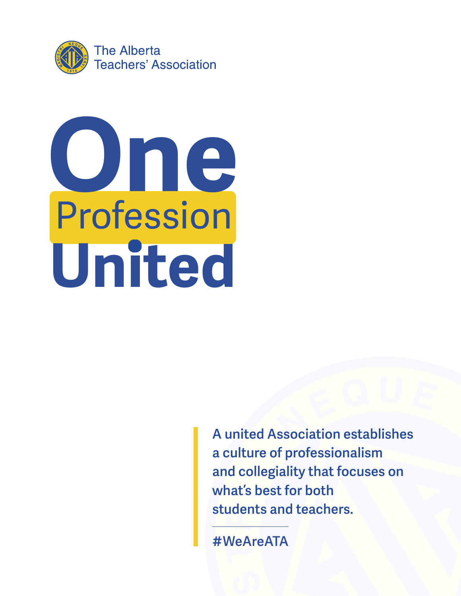



**A united Association establishes a culture of professionalism and collegiality that focuses on what's best for both students and teachers.**

**#WeAreATA**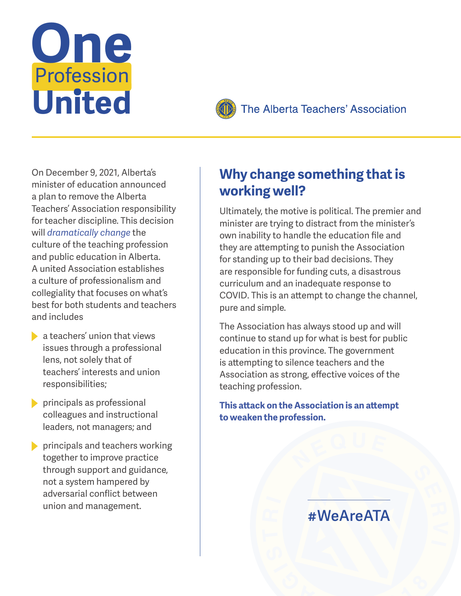



#### The Alberta Teachers' Association

On December 9, 2021, Alberta's minister of education announced a plan to remove the Alberta Teachers' Association responsibility for teacher discipline. This decision will *dramatically change* the culture of the teaching profession and public education in Alberta. A united Association establishes a culture of professionalism and collegiality that focuses on what's best for both students and teachers and includes

- $\blacktriangleright$  a teachers' union that views issues through a professional lens, not solely that of teachers' interests and union responsibilities;
- **principals as professional** colleagues and instructional leaders, not managers; and
- **principals and teachers working** together to improve practice through support and guidance, not a system hampered by adversarial conflict between union and management.

## **Why change something that is working well?**

Ultimately, the motive is political. The premier and minister are trying to distract from the minister's own inability to handle the education file and they are attempting to punish the Association for standing up to their bad decisions. They are responsible for funding cuts, a disastrous curriculum and an inadequate response to COVID. This is an attempt to change the channel, pure and simple.

The Association has always stood up and will continue to stand up for what is best for public education in this province. The government is attempting to silence teachers and the Association as strong, effective voices of the teaching profession.

**This attack on the Association is an attempt to weaken the profession.**

# **#WeAreATA**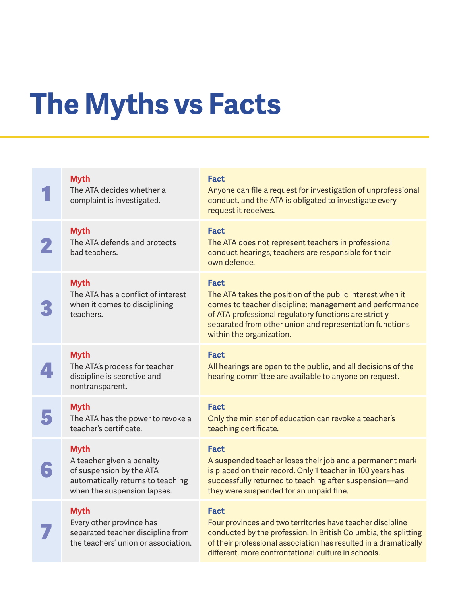# **The Myths vs Facts**

|                      | <b>Myth</b><br>The ATA decides whether a<br>complaint is investigated.                                                                   | <b>Fact</b><br>Anyone can file a request for investigation of unprofessional<br>conduct, and the ATA is obligated to investigate every<br>request it receives.                                                                                                                      |
|----------------------|------------------------------------------------------------------------------------------------------------------------------------------|-------------------------------------------------------------------------------------------------------------------------------------------------------------------------------------------------------------------------------------------------------------------------------------|
|                      | <b>Myth</b><br>The ATA defends and protects<br>bad teachers.                                                                             | <b>Fact</b><br>The ATA does not represent teachers in professional<br>conduct hearings; teachers are responsible for their<br>own defence.                                                                                                                                          |
|                      | <b>Myth</b><br>The ATA has a conflict of interest<br>when it comes to disciplining<br>teachers.                                          | <b>Fact</b><br>The ATA takes the position of the public interest when it<br>comes to teacher discipline; management and performance<br>of ATA professional regulatory functions are strictly<br>separated from other union and representation functions<br>within the organization. |
|                      | <b>Myth</b><br>The ATA's process for teacher<br>discipline is secretive and<br>nontransparent.                                           | <b>Fact</b><br>All hearings are open to the public, and all decisions of the<br>hearing committee are available to anyone on request.                                                                                                                                               |
|                      | <b>Myth</b><br>The ATA has the power to revoke a<br>teacher's certificate.                                                               | <b>Fact</b><br>Only the minister of education can revoke a teacher's<br>teaching certificate.                                                                                                                                                                                       |
| $\ddot{\phantom{a}}$ | <b>Myth</b><br>A teacher given a penalty<br>of suspension by the ATA<br>automatically returns to teaching<br>when the suspension lapses. | <b>Fact</b><br>A suspended teacher loses their job and a permanent mark<br>is placed on their record. Only 1 teacher in 100 years has<br>successfully returned to teaching after suspension-and<br>they were suspended for an unpaid fine.                                          |
|                      | <b>Myth</b><br>Every other province has<br>separated teacher discipline from<br>the teachers' union or association.                      | <b>Fact</b><br>Four provinces and two territories have teacher discipline<br>conducted by the profession. In British Columbia, the splitting<br>of their professional association has resulted in a dramatically<br>different, more confrontational culture in schools.             |